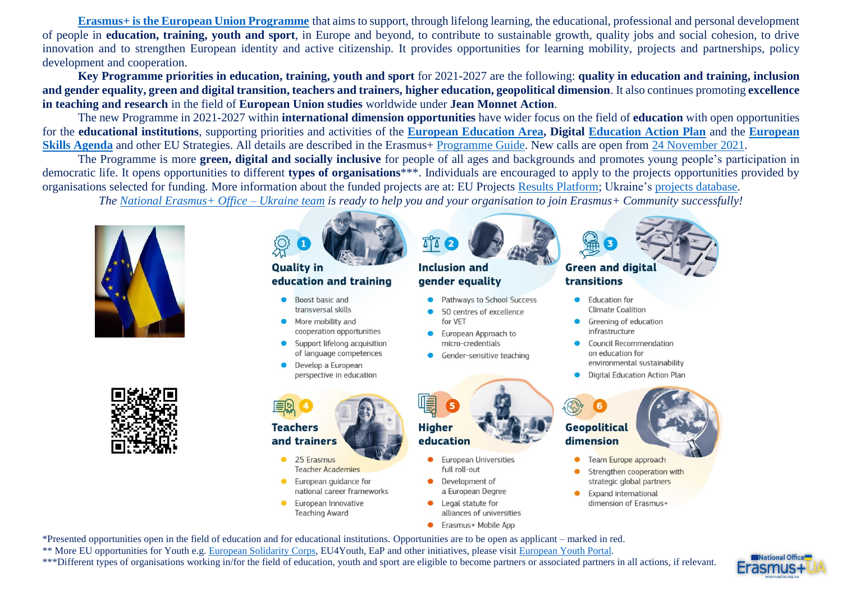**[Erasmus+ is the European Union Programme](https://ec.europa.eu/programmes/erasmus-plus/node_en)** that aims to support, through lifelong learning, the educational, professional and personal development of people in **education, training, youth and sport**, in Europe and beyond, to contribute to sustainable growth, quality jobs and social cohesion, to drive innovation and to strengthen European identity and active citizenship. It provides opportunities for learning mobility, projects and partnerships, policy development and cooperation.

**Key Programme priorities in education, training, youth and sport** for 2021-2027 are the following: **quality in education and training, inclusion and gender equality, green and digital transition, teachers and trainers, higher education, geopolitical dimension**. It also continues promoting **excellence in teaching and research** in the field of **European Union studies** worldwide under **Jean Monnet Action**.

The new Programme in 2021-2027 within **international dimension opportunities** have wider focus on the field of **education** with open opportunities for the **educational institutions**, supporting priorities and activities of the **[European Education Area,](https://ec.europa.eu/education/education-in-the-eu/european-education-area_en) Digital [Education Action Plan](https://ec.europa.eu/education/education-in-the-eu/digital-education-action-plan_en)** and the **[European](https://ec.europa.eu/social/main.jsp?catId=1223&langId=en)  [Skills Agenda](https://ec.europa.eu/social/main.jsp?catId=1223&langId=en)** and other EU Strategies. All details are described in the Erasmus+ [Programme Guide.](https://ec.europa.eu/programmes/erasmus-plus/resources/programme-guide_en) New calls are open from 24 [November](https://erasmusplus.org.ua/en/news/3869-new-eu-funded-erasmus-programme-call-2022-for-mobility-and-cooperation-in-education-training-youth-and-sport-open.html) 2021.

The Programme is more **green, digital and socially inclusive** for people of all ages and backgrounds and promotes young people's participation in democratic life. It opens opportunities to different **types of organisations**\*\*\*. Individuals are encouraged to apply to the projects opportunities provided by organisations selected for funding. More information about the funded projects are at: EU Projects [Results Platform;](https://ec.europa.eu/programmes/erasmus-plus/projects/) Ukraine's [projects database.](https://erasmusplus.org.ua/erasmus/novyny-i-baza-proektiv.html)

*The [National Erasmus+ Office –](https://erasmusplus.org.ua/) Ukraine team is ready to help you and your organisation to join Erasmus+ Community successfully!*



\*Presented opportunities open in the field of education and for educational institutions. Opportunities are to be open as applicant – marked in red.

- \*\* More EU opportunities for Youth e.g. [European Solidarity](https://europa.eu/youth/solidarity_en) Corps, EU4Youth, EaP and other initiatives, please visit [European Youth Portal.](https://europa.eu/youth/strategy_en)
- \*\*\*Different types of organisations working in/for the field of education, youth and sport are eligible to become partners or associated partners in all actions, if relevant.